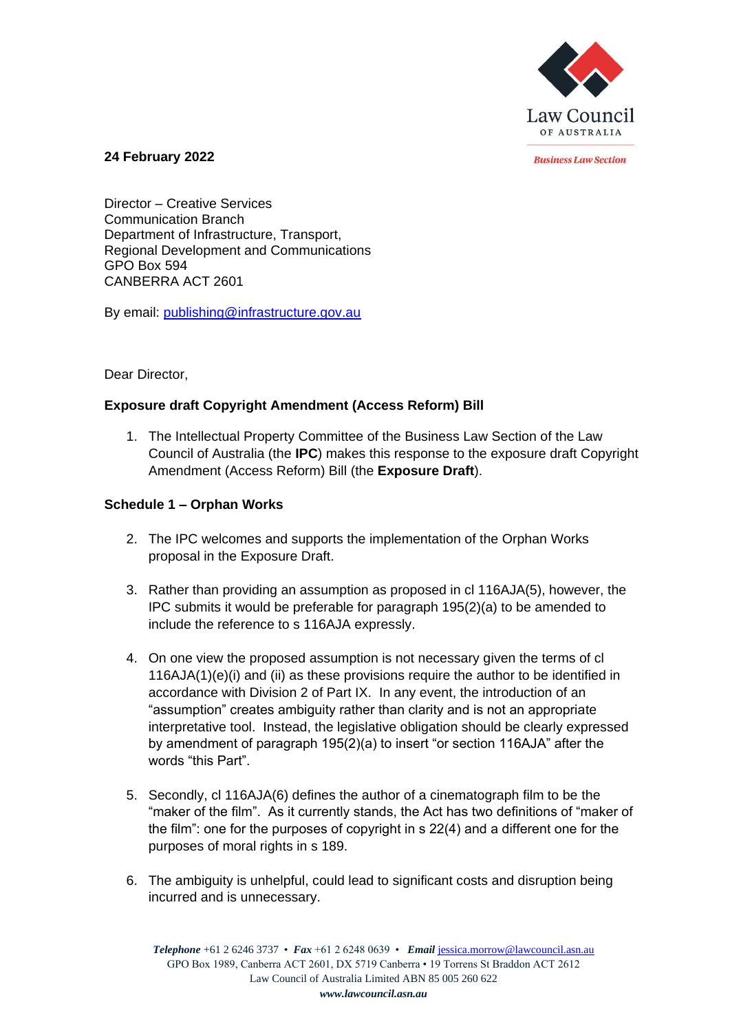

*<u>Rusiness Law Section</u>* 

**24 February 2022**

Director – Creative Services Communication Branch Department of Infrastructure, Transport, Regional Development and Communications GPO Box 594 CANBERRA ACT 2601

By email: [publishing@infrastructure.gov.au](mailto:publishing@infrastructure.gov.au)

# Dear Director,

# **Exposure draft Copyright Amendment (Access Reform) Bill**

1. The Intellectual Property Committee of the Business Law Section of the Law Council of Australia (the **IPC**) makes this response to the exposure draft Copyright Amendment (Access Reform) Bill (the **Exposure Draft**).

# **Schedule 1 – Orphan Works**

- 2. The IPC welcomes and supports the implementation of the Orphan Works proposal in the Exposure Draft.
- 3. Rather than providing an assumption as proposed in cl 116AJA(5), however, the IPC submits it would be preferable for paragraph 195(2)(a) to be amended to include the reference to s 116AJA expressly.
- 4. On one view the proposed assumption is not necessary given the terms of cl  $116AJA(1)(e)(i)$  and (ii) as these provisions require the author to be identified in accordance with Division 2 of Part IX. In any event, the introduction of an "assumption" creates ambiguity rather than clarity and is not an appropriate interpretative tool. Instead, the legislative obligation should be clearly expressed by amendment of paragraph 195(2)(a) to insert "or section 116AJA" after the words "this Part".
- 5. Secondly, cl 116AJA(6) defines the author of a cinematograph film to be the "maker of the film". As it currently stands, the Act has two definitions of "maker of the film": one for the purposes of copyright in s 22(4) and a different one for the purposes of moral rights in s 189.
- 6. The ambiguity is unhelpful, could lead to significant costs and disruption being incurred and is unnecessary.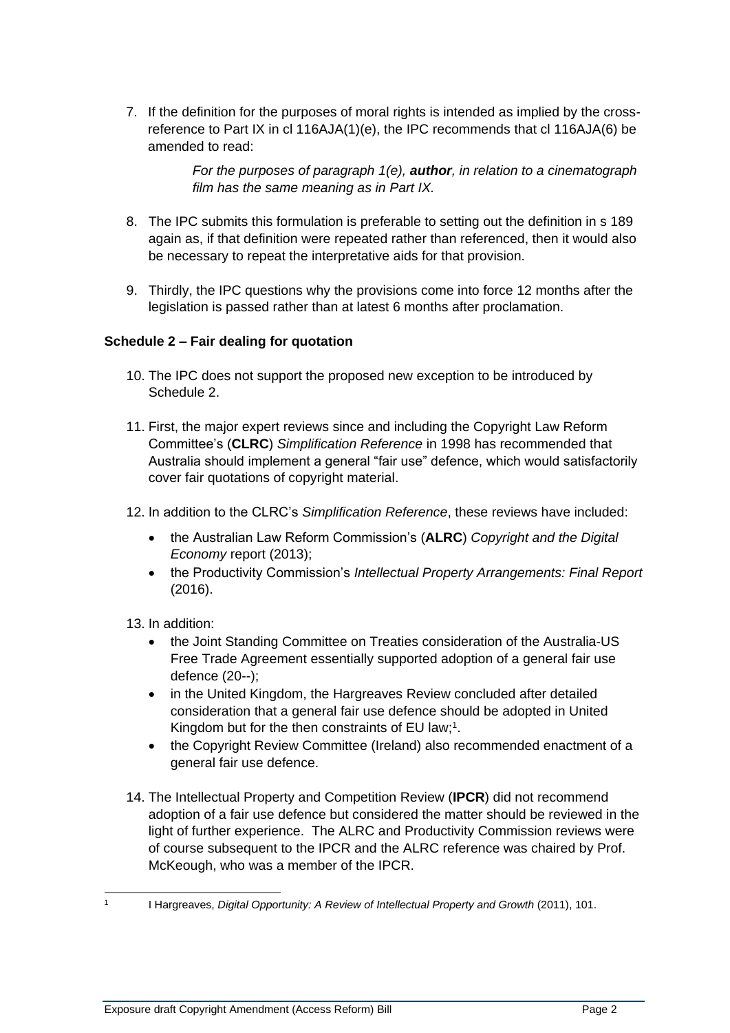7. If the definition for the purposes of moral rights is intended as implied by the crossreference to Part IX in cl 116AJA(1)(e), the IPC recommends that cl 116AJA(6) be amended to read:

> *For the purposes of paragraph 1(e), author, in relation to a cinematograph film has the same meaning as in Part IX.*

- 8. The IPC submits this formulation is preferable to setting out the definition in s 189 again as, if that definition were repeated rather than referenced, then it would also be necessary to repeat the interpretative aids for that provision.
- 9. Thirdly, the IPC questions why the provisions come into force 12 months after the legislation is passed rather than at latest 6 months after proclamation.

### **Schedule 2 – Fair dealing for quotation**

- 10. The IPC does not support the proposed new exception to be introduced by Schedule 2.
- 11. First, the major expert reviews since and including the Copyright Law Reform Committee's (**CLRC**) *Simplification Reference* in 1998 has recommended that Australia should implement a general "fair use" defence, which would satisfactorily cover fair quotations of copyright material.
- 12. In addition to the CLRC's *Simplification Reference*, these reviews have included:
	- the Australian Law Reform Commission's (**ALRC**) *Copyright and the Digital Economy* report (2013);
	- the Productivity Commission's *Intellectual Property Arrangements: Final Report* (2016).

13. In addition:

- the Joint Standing Committee on Treaties consideration of the Australia-US Free Trade Agreement essentially supported adoption of a general fair use defence (20--);
- in the United Kingdom, the Hargreaves Review concluded after detailed consideration that a general fair use defence should be adopted in United Kingdom but for the then constraints of EU law;<sup>1</sup>.
- the Copyright Review Committee (Ireland) also recommended enactment of a general fair use defence.
- 14. The Intellectual Property and Competition Review (**IPCR**) did not recommend adoption of a fair use defence but considered the matter should be reviewed in the light of further experience. The ALRC and Productivity Commission reviews were of course subsequent to the IPCR and the ALRC reference was chaired by Prof. McKeough, who was a member of the IPCR.

<sup>1</sup>

I Hargreaves, *Digital Opportunity: A Review of Intellectual Property and Growth* (2011), 101.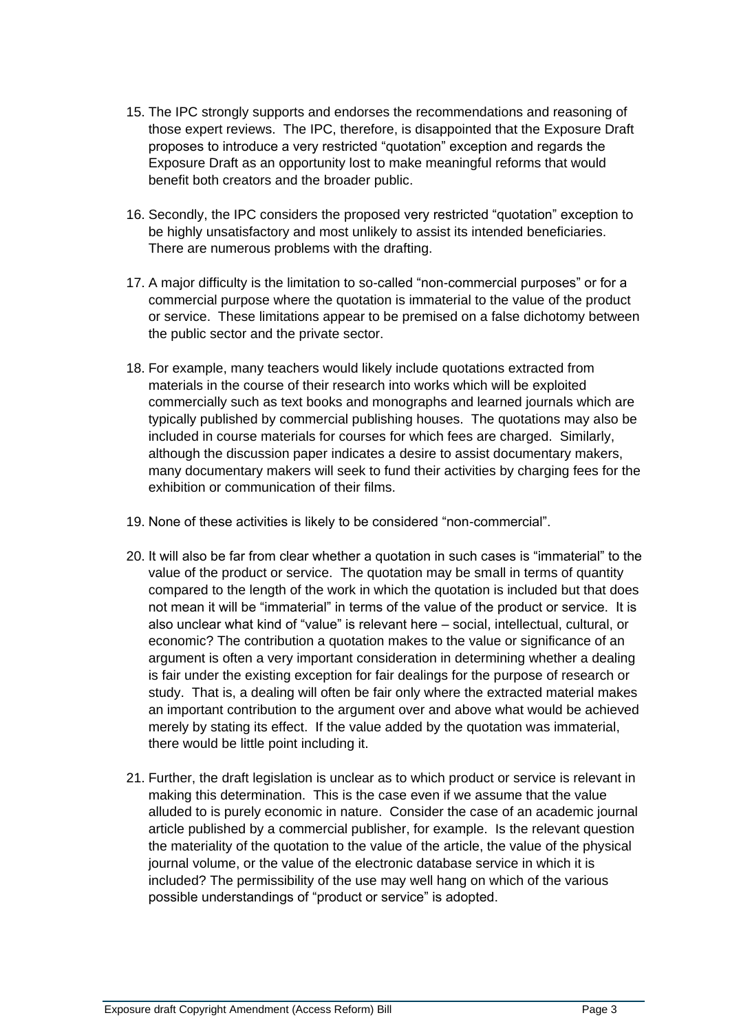- 15. The IPC strongly supports and endorses the recommendations and reasoning of those expert reviews. The IPC, therefore, is disappointed that the Exposure Draft proposes to introduce a very restricted "quotation" exception and regards the Exposure Draft as an opportunity lost to make meaningful reforms that would benefit both creators and the broader public.
- 16. Secondly, the IPC considers the proposed very restricted "quotation" exception to be highly unsatisfactory and most unlikely to assist its intended beneficiaries. There are numerous problems with the drafting.
- 17. A major difficulty is the limitation to so-called "non-commercial purposes" or for a commercial purpose where the quotation is immaterial to the value of the product or service. These limitations appear to be premised on a false dichotomy between the public sector and the private sector.
- 18. For example, many teachers would likely include quotations extracted from materials in the course of their research into works which will be exploited commercially such as text books and monographs and learned journals which are typically published by commercial publishing houses. The quotations may also be included in course materials for courses for which fees are charged. Similarly, although the discussion paper indicates a desire to assist documentary makers, many documentary makers will seek to fund their activities by charging fees for the exhibition or communication of their films.
- 19. None of these activities is likely to be considered "non-commercial".
- 20. It will also be far from clear whether a quotation in such cases is "immaterial" to the value of the product or service. The quotation may be small in terms of quantity compared to the length of the work in which the quotation is included but that does not mean it will be "immaterial" in terms of the value of the product or service. It is also unclear what kind of "value" is relevant here – social, intellectual, cultural, or economic? The contribution a quotation makes to the value or significance of an argument is often a very important consideration in determining whether a dealing is fair under the existing exception for fair dealings for the purpose of research or study. That is, a dealing will often be fair only where the extracted material makes an important contribution to the argument over and above what would be achieved merely by stating its effect. If the value added by the quotation was immaterial, there would be little point including it.
- 21. Further, the draft legislation is unclear as to which product or service is relevant in making this determination. This is the case even if we assume that the value alluded to is purely economic in nature. Consider the case of an academic journal article published by a commercial publisher, for example. Is the relevant question the materiality of the quotation to the value of the article, the value of the physical journal volume, or the value of the electronic database service in which it is included? The permissibility of the use may well hang on which of the various possible understandings of "product or service" is adopted.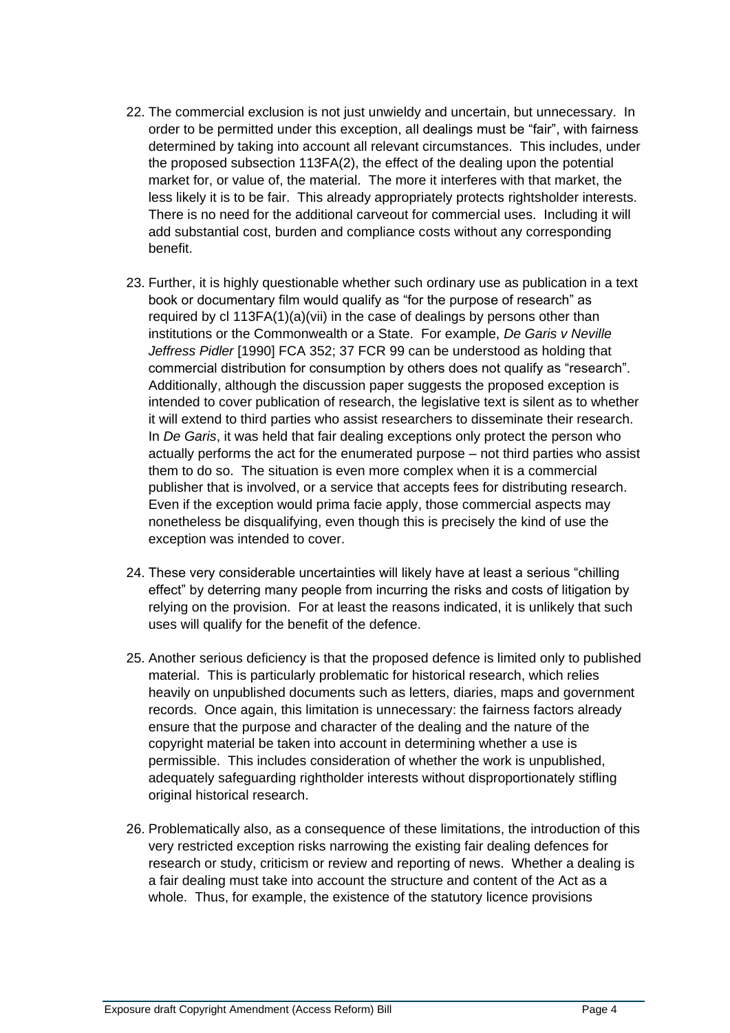- 22. The commercial exclusion is not just unwieldy and uncertain, but unnecessary. In order to be permitted under this exception, all dealings must be "fair", with fairness determined by taking into account all relevant circumstances. This includes, under the proposed subsection 113FA(2), the effect of the dealing upon the potential market for, or value of, the material. The more it interferes with that market, the less likely it is to be fair. This already appropriately protects rightsholder interests. There is no need for the additional carveout for commercial uses. Including it will add substantial cost, burden and compliance costs without any corresponding benefit.
- 23. Further, it is highly questionable whether such ordinary use as publication in a text book or documentary film would qualify as "for the purpose of research" as required by cl 113FA(1)(a)(vii) in the case of dealings by persons other than institutions or the Commonwealth or a State. For example, *De Garis v Neville Jeffress Pidler* [1990] FCA 352; 37 FCR 99 can be understood as holding that commercial distribution for consumption by others does not qualify as "research". Additionally, although the discussion paper suggests the proposed exception is intended to cover publication of research, the legislative text is silent as to whether it will extend to third parties who assist researchers to disseminate their research. In *De Garis*, it was held that fair dealing exceptions only protect the person who actually performs the act for the enumerated purpose – not third parties who assist them to do so. The situation is even more complex when it is a commercial publisher that is involved, or a service that accepts fees for distributing research. Even if the exception would prima facie apply, those commercial aspects may nonetheless be disqualifying, even though this is precisely the kind of use the exception was intended to cover.
- 24. These very considerable uncertainties will likely have at least a serious "chilling effect" by deterring many people from incurring the risks and costs of litigation by relying on the provision. For at least the reasons indicated, it is unlikely that such uses will qualify for the benefit of the defence.
- 25. Another serious deficiency is that the proposed defence is limited only to published material. This is particularly problematic for historical research, which relies heavily on unpublished documents such as letters, diaries, maps and government records. Once again, this limitation is unnecessary: the fairness factors already ensure that the purpose and character of the dealing and the nature of the copyright material be taken into account in determining whether a use is permissible. This includes consideration of whether the work is unpublished, adequately safeguarding rightholder interests without disproportionately stifling original historical research.
- 26. Problematically also, as a consequence of these limitations, the introduction of this very restricted exception risks narrowing the existing fair dealing defences for research or study, criticism or review and reporting of news. Whether a dealing is a fair dealing must take into account the structure and content of the Act as a whole. Thus, for example, the existence of the statutory licence provisions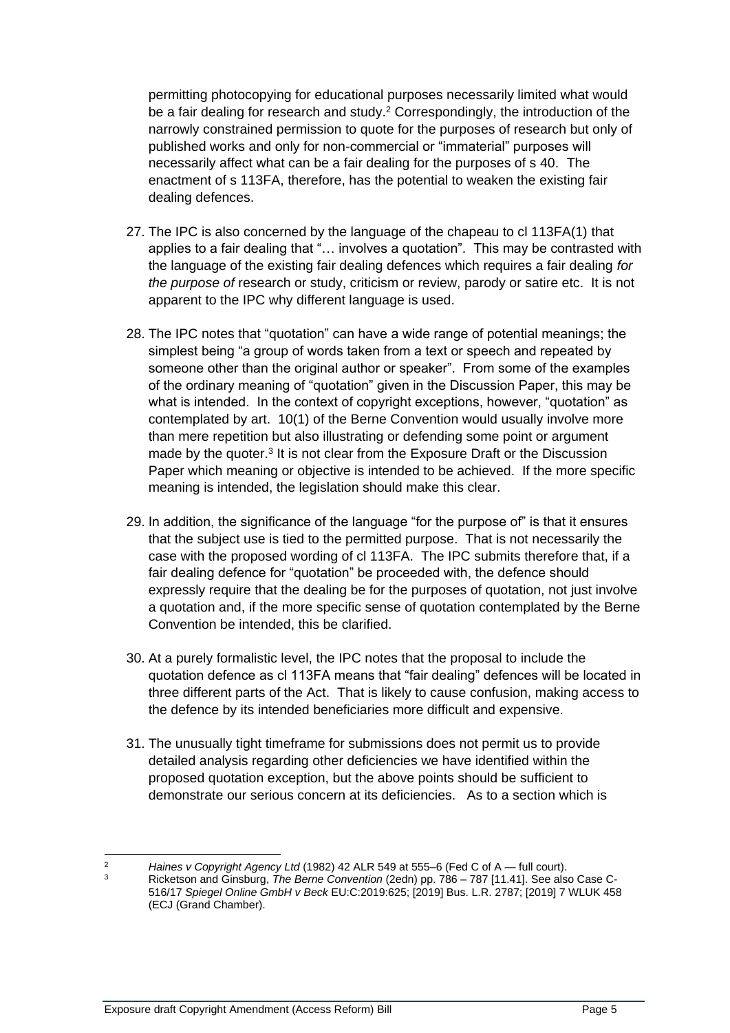permitting photocopying for educational purposes necessarily limited what would be a fair dealing for research and study.<sup>2</sup> Correspondingly, the introduction of the narrowly constrained permission to quote for the purposes of research but only of published works and only for non-commercial or "immaterial" purposes will necessarily affect what can be a fair dealing for the purposes of s 40. The enactment of s 113FA, therefore, has the potential to weaken the existing fair dealing defences.

- 27. The IPC is also concerned by the language of the chapeau to cl 113FA(1) that applies to a fair dealing that "… involves a quotation". This may be contrasted with the language of the existing fair dealing defences which requires a fair dealing *for the purpose of* research or study, criticism or review, parody or satire etc. It is not apparent to the IPC why different language is used.
- 28. The IPC notes that "quotation" can have a wide range of potential meanings; the simplest being "a group of words taken from a text or speech and repeated by someone other than the original author or speaker". From some of the examples of the ordinary meaning of "quotation" given in the Discussion Paper, this may be what is intended. In the context of copyright exceptions, however, "quotation" as contemplated by art. 10(1) of the Berne Convention would usually involve more than mere repetition but also illustrating or defending some point or argument made by the quoter.<sup>3</sup> It is not clear from the Exposure Draft or the Discussion Paper which meaning or objective is intended to be achieved. If the more specific meaning is intended, the legislation should make this clear.
- 29. In addition, the significance of the language "for the purpose of" is that it ensures that the subject use is tied to the permitted purpose. That is not necessarily the case with the proposed wording of cl 113FA. The IPC submits therefore that, if a fair dealing defence for "quotation" be proceeded with, the defence should expressly require that the dealing be for the purposes of quotation, not just involve a quotation and, if the more specific sense of quotation contemplated by the Berne Convention be intended, this be clarified.
- 30. At a purely formalistic level, the IPC notes that the proposal to include the quotation defence as cl 113FA means that "fair dealing" defences will be located in three different parts of the Act. That is likely to cause confusion, making access to the defence by its intended beneficiaries more difficult and expensive.
- 31. The unusually tight timeframe for submissions does not permit us to provide detailed analysis regarding other deficiencies we have identified within the proposed quotation exception, but the above points should be sufficient to demonstrate our serious concern at its deficiencies. As to a section which is

<sup>2</sup> *Haines v Copyright Agency Ltd* (1982) 42 ALR 549 at 555–6 (Fed C of A — full court). <sup>3</sup> Ricketson and Ginsburg, *The Berne Convention* (2edn) pp. 786 – 787 [11.41]. See also Case C-516/17 *Spiegel Online GmbH v Beck* EU:C:2019:625; [2019] Bus. L.R. 2787; [2019] 7 WLUK 458 (ECJ (Grand Chamber).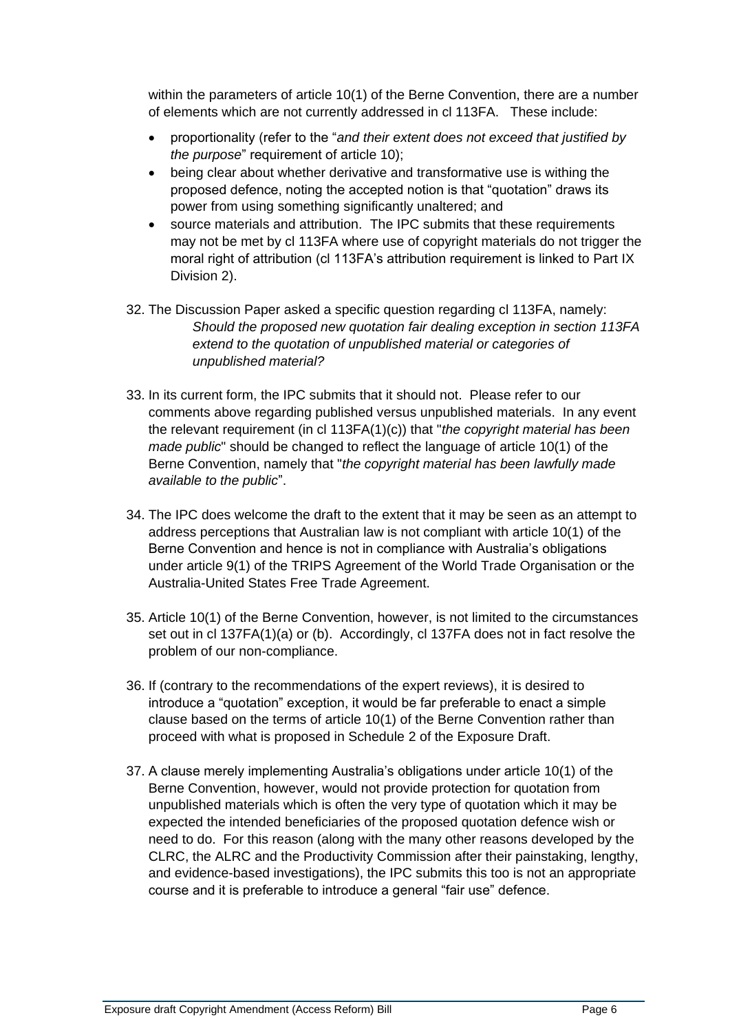within the parameters of article 10(1) of the Berne Convention, there are a number of elements which are not currently addressed in cl 113FA. These include:

- proportionality (refer to the "*and their extent does not exceed that justified by the purpose*" requirement of article 10);
- being clear about whether derivative and transformative use is withing the proposed defence, noting the accepted notion is that "quotation" draws its power from using something significantly unaltered; and
- source materials and attribution. The IPC submits that these requirements may not be met by cl 113FA where use of copyright materials do not trigger the moral right of attribution (cl 113FA's attribution requirement is linked to Part IX Division 2).
- 32. The Discussion Paper asked a specific question regarding cl 113FA, namely: *Should the proposed new quotation fair dealing exception in section 113FA extend to the quotation of unpublished material or categories of unpublished material?*
- 33. In its current form, the IPC submits that it should not. Please refer to our comments above regarding published versus unpublished materials. In any event the relevant requirement (in cl 113FA(1)(c)) that "*the copyright material has been made public*" should be changed to reflect the language of article 10(1) of the Berne Convention, namely that "*the copyright material has been lawfully made available to the public*".
- 34. The IPC does welcome the draft to the extent that it may be seen as an attempt to address perceptions that Australian law is not compliant with article 10(1) of the Berne Convention and hence is not in compliance with Australia's obligations under article 9(1) of the TRIPS Agreement of the World Trade Organisation or the Australia-United States Free Trade Agreement.
- 35. Article 10(1) of the Berne Convention, however, is not limited to the circumstances set out in cl 137FA(1)(a) or (b). Accordingly, cl 137FA does not in fact resolve the problem of our non-compliance.
- 36. If (contrary to the recommendations of the expert reviews), it is desired to introduce a "quotation" exception, it would be far preferable to enact a simple clause based on the terms of article 10(1) of the Berne Convention rather than proceed with what is proposed in Schedule 2 of the Exposure Draft.
- 37. A clause merely implementing Australia's obligations under article 10(1) of the Berne Convention, however, would not provide protection for quotation from unpublished materials which is often the very type of quotation which it may be expected the intended beneficiaries of the proposed quotation defence wish or need to do. For this reason (along with the many other reasons developed by the CLRC, the ALRC and the Productivity Commission after their painstaking, lengthy, and evidence-based investigations), the IPC submits this too is not an appropriate course and it is preferable to introduce a general "fair use" defence.